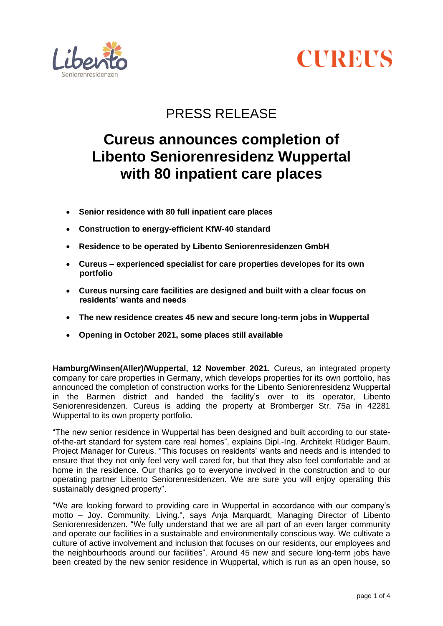



# PRESS RELEASE

# **Cureus announces completion of Libento Seniorenresidenz Wuppertal with 80 inpatient care places**

- **Senior residence with 80 full inpatient care places**
- **Construction to energy-efficient KfW-40 standard**
- **Residence to be operated by Libento Seniorenresidenzen GmbH**
- **Cureus – experienced specialist for care properties developes for its own portfolio**
- **Cureus nursing care facilities are designed and built with a clear focus on residents' wants and needs**
- **The new residence creates 45 new and secure long-term jobs in Wuppertal**
- **Opening in October 2021, some places still available**

**Hamburg/Winsen(Aller)/Wuppertal, 12 November 2021.** Cureus, an integrated property company for care properties in Germany, which develops properties for its own portfolio, has announced the completion of construction works for the Libento Seniorenresidenz Wuppertal in the Barmen district and handed the facility's over to its operator, Libento Seniorenresidenzen. Cureus is adding the property at Bromberger Str. 75a in 42281 Wuppertal to its own property portfolio.

"The new senior residence in Wuppertal has been designed and built according to our stateof-the-art standard for system care real homes", explains Dipl.-Ing. Architekt Rüdiger Baum, Project Manager for Cureus. "This focuses on residents' wants and needs and is intended to ensure that they not only feel very well cared for, but that they also feel comfortable and at home in the residence. Our thanks go to everyone involved in the construction and to our operating partner Libento Seniorenresidenzen. We are sure you will enjoy operating this sustainably designed property".

"We are looking forward to providing care in Wuppertal in accordance with our company's motto – Joy. Community. Living.", says Anja Marquardt, Managing Director of Libento Seniorenresidenzen. "We fully understand that we are all part of an even larger community and operate our facilities in a sustainable and environmentally conscious way. We cultivate a culture of active involvement and inclusion that focuses on our residents, our employees and the neighbourhoods around our facilities". Around 45 new and secure long-term jobs have been created by the new senior residence in Wuppertal, which is run as an open house, so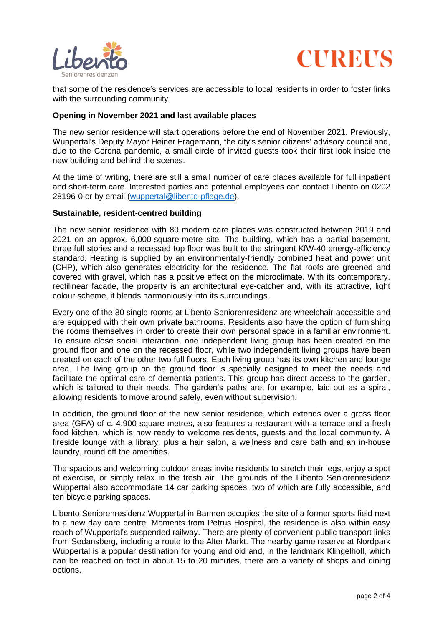



that some of the residence's services are accessible to local residents in order to foster links with the surrounding community.

#### **Opening in November 2021 and last available places**

The new senior residence will start operations before the end of November 2021. Previously, Wuppertal's Deputy Mayor Heiner Fragemann, the city's senior citizens' advisory council and, due to the Corona pandemic, a small circle of invited guests took their first look inside the new building and behind the scenes.

At the time of writing, there are still a small number of care places available for full inpatient and short-term care. Interested parties and potential employees can contact Libento on 0202 28196-0 or by email [\(wuppertal@libento-pflege.de\)](mailto:wuppertal@libento-pflege.de).

#### **Sustainable, resident-centred building**

The new senior residence with 80 modern care places was constructed between 2019 and 2021 on an approx. 6,000-square-metre site. The building, which has a partial basement, three full stories and a recessed top floor was built to the stringent KfW-40 energy-efficiency standard. Heating is supplied by an environmentally-friendly combined heat and power unit (CHP), which also generates electricity for the residence. The flat roofs are greened and covered with gravel, which has a positive effect on the microclimate. With its contemporary, rectilinear facade, the property is an architectural eye-catcher and, with its attractive, light colour scheme, it blends harmoniously into its surroundings.

Every one of the 80 single rooms at Libento Seniorenresidenz are wheelchair-accessible and are equipped with their own private bathrooms. Residents also have the option of furnishing the rooms themselves in order to create their own personal space in a familiar environment. To ensure close social interaction, one independent living group has been created on the ground floor and one on the recessed floor, while two independent living groups have been created on each of the other two full floors. Each living group has its own kitchen and lounge area. The living group on the ground floor is specially designed to meet the needs and facilitate the optimal care of dementia patients. This group has direct access to the garden, which is tailored to their needs. The garden's paths are, for example, laid out as a spiral, allowing residents to move around safely, even without supervision.

In addition, the ground floor of the new senior residence, which extends over a gross floor area (GFA) of c. 4,900 square metres, also features a restaurant with a terrace and a fresh food kitchen, which is now ready to welcome residents, guests and the local community. A fireside lounge with a library, plus a hair salon, a wellness and care bath and an in-house laundry, round off the amenities.

The spacious and welcoming outdoor areas invite residents to stretch their legs, enjoy a spot of exercise, or simply relax in the fresh air. The grounds of the Libento Seniorenresidenz Wuppertal also accommodate 14 car parking spaces, two of which are fully accessible, and ten bicycle parking spaces.

Libento Seniorenresidenz Wuppertal in Barmen occupies the site of a former sports field next to a new day care centre. Moments from Petrus Hospital, the residence is also within easy reach of Wuppertal's suspended railway. There are plenty of convenient public transport links from Sedansberg, including a route to the Alter Markt. The nearby game reserve at Nordpark Wuppertal is a popular destination for young and old and, in the landmark Klingelholl, which can be reached on foot in about 15 to 20 minutes, there are a variety of shops and dining options.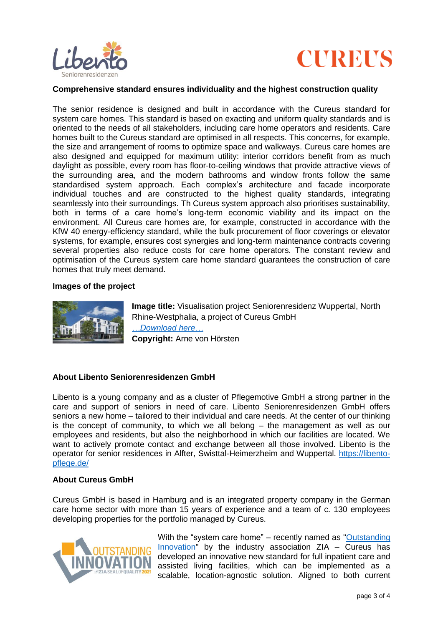



#### **Comprehensive standard ensures individuality and the highest construction quality**

The senior residence is designed and built in accordance with the Cureus standard for system care homes. This standard is based on exacting and uniform quality standards and is oriented to the needs of all stakeholders, including care home operators and residents. Care homes built to the Cureus standard are optimised in all respects. This concerns, for example, the size and arrangement of rooms to optimize space and walkways. Cureus care homes are also designed and equipped for maximum utility: interior corridors benefit from as much daylight as possible, every room has floor-to-ceiling windows that provide attractive views of the surrounding area, and the modern bathrooms and window fronts follow the same standardised system approach. Each complex's architecture and facade incorporate individual touches and are constructed to the highest quality standards, integrating seamlessly into their surroundings. Th Cureus system approach also prioritises sustainability, both in terms of a care home's long-term economic viability and its impact on the environment. All Cureus care homes are, for example, constructed in accordance with the KfW 40 energy-efficiency standard, while the bulk procurement of floor coverings or elevator systems, for example, ensures cost synergies and long-term maintenance contracts covering several properties also reduce costs for care home operators. The constant review and optimisation of the Cureus system care home standard guarantees the construction of care homes that truly meet demand.

#### **Images of the project**



**Image title:** Visualisation project Seniorenresidenz Wuppertal, North Rhine-Westphalia, a project of Cureus GmbH *[…Download here…](https://cureus.de/download_file/358/0)* **Copyright:** Arne von Hörsten

## **About Libento Seniorenresidenzen GmbH**

Libento is a young company and as a cluster of Pflegemotive GmbH a strong partner in the care and support of seniors in need of care. Libento Seniorenresidenzen GmbH offers seniors a new home – tailored to their individual and care needs. At the center of our thinking is the concept of community, to which we all belong – the management as well as our employees and residents, but also the neighborhood in which our facilities are located. We want to actively promote contact and exchange between all those involved. Libento is the operator for senior residences in Alfter, Swisttal-Heimerzheim and Wuppertal. [https://libento](https://libento-pflege.de/)[pflege.de/](https://libento-pflege.de/)

#### **About Cureus GmbH**

Cureus GmbH is based in Hamburg and is an integrated property company in the German care home sector with more than 15 years of experience and a team of c. 130 employees developing properties for the portfolio managed by Cureus.



With the "system care home" – recently named as ["Outstanding](https://www.zia-innovationsradar.de/)   $Innovation''$  by the industry association ZIA – Cureus has developed an innovative new standard for full inpatient care and assisted living facilities, which can be implemented as a scalable, location-agnostic solution. Aligned to both current